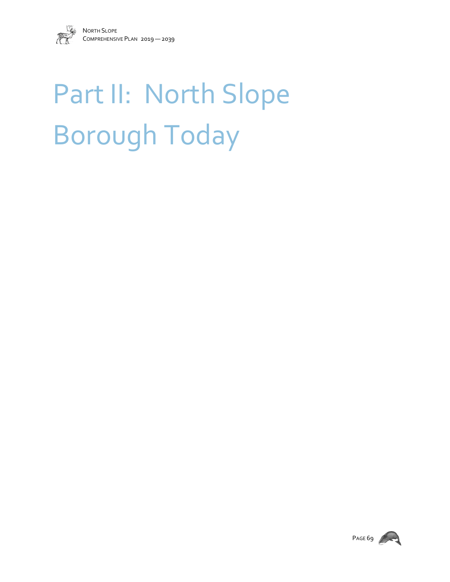

# Part II: North Slope Borough Today

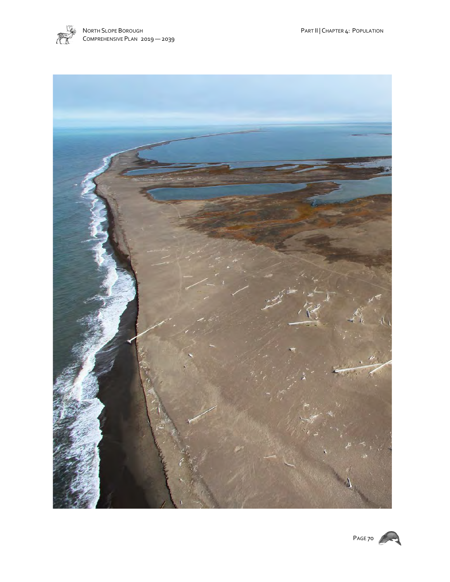



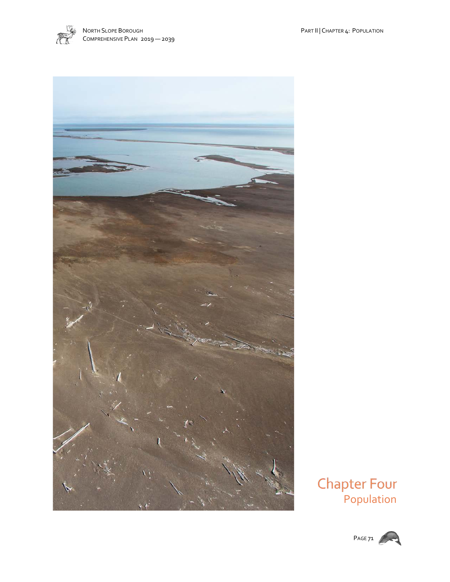





**Chapter Four** .<br>Population

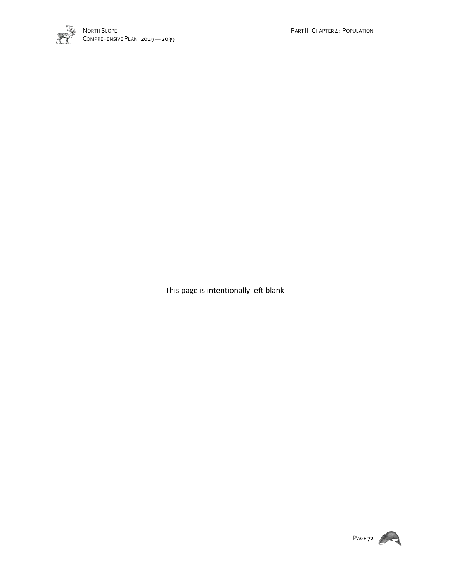

This page is intentionally left blank

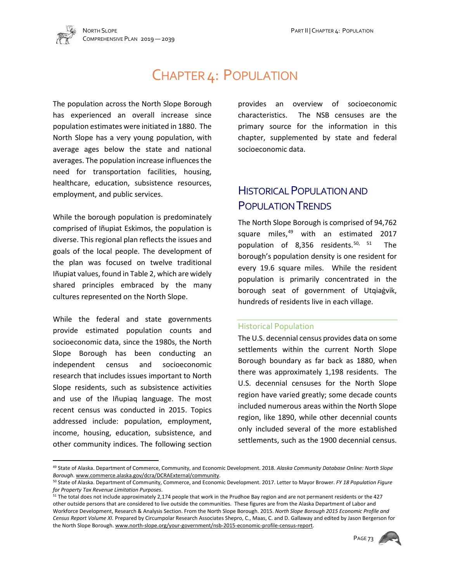## CHAPTER 4: POPULATION

The population across the North Slope Borough has experienced an overall increase since population estimates were initiated in 1880. The North Slope has a very young population, with average ages below the state and national averages. The population increase influences the need for transportation facilities, housing, healthcare, education, subsistence resources, employment, and public services.

While the borough population is predominately comprised of Iñupiat Eskimos, the population is diverse. This regional plan reflects the issues and goals of the local people. The development of the plan was focused on twelve traditional Iñupiat values, found in Table 2, which are widely shared principles embraced by the many cultures represented on the North Slope.

While the federal and state governments provide estimated population counts and socioeconomic data, since the 1980s, the North Slope Borough has been conducting an independent census and socioeconomic research that includes issues important to North Slope residents, such as subsistence activities and use of the Iñupiaq language. The most recent census was conducted in 2015. Topics addressed include: population, employment, income, housing, education, subsistence, and other community indices. The following section

 $\overline{\phantom{a}}$ 

provides an overview of socioeconomic characteristics. The NSB censuses are the primary source for the information in this chapter, supplemented by state and federal socioeconomic data.

## HISTORICAL POPULATION AND POPULATION TRENDS

The North Slope Borough is comprised of 94,762 square miles, [49](#page-4-0) with an estimated 2017 population of 8,356 residents. [50](#page-4-1), [51](#page-4-2) The borough's population density is one resident for every 19.6 square miles. While the resident population is primarily concentrated in the borough seat of government of Utqiaġvik, hundreds of residents live in each village.

## Historical Population

The U.S. decennial census provides data on some settlements within the current North Slope Borough boundary as far back as 1880, when there was approximately 1,198 residents. The U.S. decennial censuses for the North Slope region have varied greatly; some decade counts included numerous areas within the North Slope region, like 1890, while other decennial counts only included several of the more established settlements, such as the 1900 decennial census.

<span id="page-4-2"></span>other outside persons that are considered to live outside the communities. These figures are from the Alaska Department of Labor and Workforce Development, Research & Analysis Section. From the North Slope Borough. 2015. *North Slope Borough 2015 Economic Profile and Census Report Volume XI.* Prepared by Circumpolar Research Associates Shepro, C., Maas, C. and D. Gallaway and edited by Jason Bergerson for the North Slope Borough. www.north-slope.org/your-government/nsb-2015-economic-profile-census-report.



<span id="page-4-0"></span><sup>49</sup> State of Alaska. Department of Commerce, Community, and Economic Development. 2018. *Alaska Community Database Online: North Slope Borough*. www.commerce.alaska.gov/dcra/DCRAExternal/community.<br><sup>50</sup> State of Alaska. Department of Community, Commerce, and Economic Development. 2017. Letter to Mayor Brower. *FY 18 Population Figure* 

<span id="page-4-1"></span>*for Property Tax Revenue Limitation Purposes*.<br><sup>51</sup> The total does not include approximately 2,174 people that work in the Prudhoe Bay region and are not permanent residents or the 427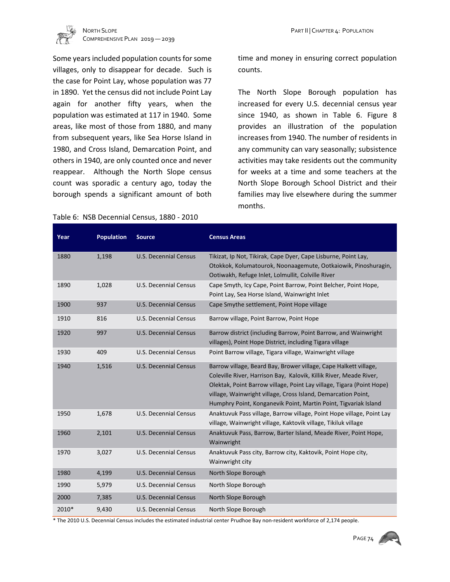

COMPREHENSIVE PLAN 2019 — 2039

Some years included population counts for some villages, only to disappear for decade. Such is the case for Point Lay, whose population was 77 in 1890. Yet the census did not include Point Lay again for another fifty years, when the population was estimated at 117 in 1940. Some areas, like most of those from 1880, and many from subsequent years, like Sea Horse Island in 1980, and Cross Island, Demarcation Point, and others in 1940, are only counted once and never reappear. Although the North Slope census count was sporadic a century ago, today the borough spends a significant amount of both

#### Table 6: NSB Decennial Census, 1880 - 2010

time and money in ensuring correct population counts.

The North Slope Borough population has increased for every U.S. decennial census year since 1940, as shown in Table 6. Figure 8 provides an illustration of the population increases from 1940. The number of residents in any community can vary seasonally; subsistence activities may take residents out the community for weeks at a time and some teachers at the North Slope Borough School District and their families may live elsewhere during the summer months.

| Year  | <b>Population</b> | <b>Source</b>                | <b>Census Areas</b>                                                                                                                                                                                                                                                                                                                                 |
|-------|-------------------|------------------------------|-----------------------------------------------------------------------------------------------------------------------------------------------------------------------------------------------------------------------------------------------------------------------------------------------------------------------------------------------------|
| 1880  | 1,198             | <b>U.S. Decennial Census</b> | Tikizat, Ip Not, Tikirak, Cape Dyer, Cape Lisburne, Point Lay,<br>Otokkok, Kolumatourok, Noonaagemute, Ootkaiowik, Pinoshuragin,<br>Ootiwakh, Refuge Inlet, Lolmullit, Colville River                                                                                                                                                               |
| 1890  | 1,028             | <b>U.S. Decennial Census</b> | Cape Smyth, Icy Cape, Point Barrow, Point Belcher, Point Hope,<br>Point Lay, Sea Horse Island, Wainwright Inlet                                                                                                                                                                                                                                     |
| 1900  | 937               | <b>U.S. Decennial Census</b> | Cape Smythe settlement, Point Hope village                                                                                                                                                                                                                                                                                                          |
| 1910  | 816               | <b>U.S. Decennial Census</b> | Barrow village, Point Barrow, Point Hope                                                                                                                                                                                                                                                                                                            |
| 1920  | 997               | <b>U.S. Decennial Census</b> | Barrow district (including Barrow, Point Barrow, and Wainwright<br>villages), Point Hope District, including Tigara village                                                                                                                                                                                                                         |
| 1930  | 409               | <b>U.S. Decennial Census</b> | Point Barrow village, Tigara village, Wainwright village                                                                                                                                                                                                                                                                                            |
| 1940  | 1,516             | <b>U.S. Decennial Census</b> | Barrow village, Beard Bay, Brower village, Cape Halkett village,<br>Coleville River, Harrison Bay, Kalovik, Killik River, Meade River,<br>Olektak, Point Barrow village, Point Lay village, Tigara (Point Hope)<br>village, Wainwright village, Cross Island, Demarcation Point,<br>Humphry Point, Konganevik Point, Martin Point, Tigvariak Island |
| 1950  | 1,678             | <b>U.S. Decennial Census</b> | Anaktuvuk Pass village, Barrow village, Point Hope village, Point Lay<br>village, Wainwright village, Kaktovik village, Tikiluk village                                                                                                                                                                                                             |
| 1960  | 2,101             | <b>U.S. Decennial Census</b> | Anaktuvuk Pass, Barrow, Barter Island, Meade River, Point Hope,<br>Wainwright                                                                                                                                                                                                                                                                       |
| 1970  | 3,027             | <b>U.S. Decennial Census</b> | Anaktuvuk Pass city, Barrow city, Kaktovik, Point Hope city,<br>Wainwright city                                                                                                                                                                                                                                                                     |
| 1980  | 4,199             | <b>U.S. Decennial Census</b> | North Slope Borough                                                                                                                                                                                                                                                                                                                                 |
| 1990  | 5,979             | <b>U.S. Decennial Census</b> | North Slope Borough                                                                                                                                                                                                                                                                                                                                 |
| 2000  | 7,385             | <b>U.S. Decennial Census</b> | North Slope Borough                                                                                                                                                                                                                                                                                                                                 |
| 2010* | 9,430             | <b>U.S. Decennial Census</b> | North Slope Borough                                                                                                                                                                                                                                                                                                                                 |

\* The 2010 U.S. Decennial Census includes the estimated industrial center Prudhoe Bay non-resident workforce of 2,174 people.

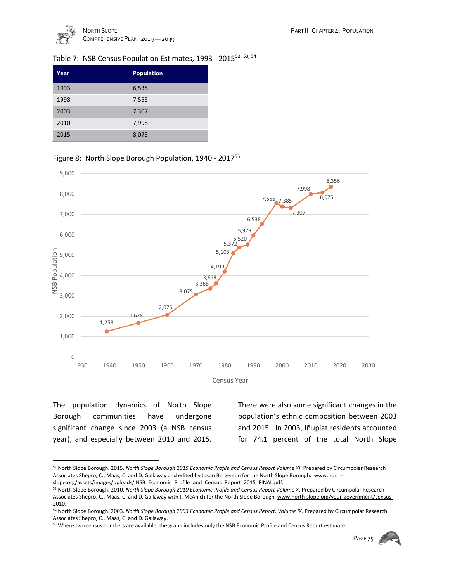

## Table 7: NSB Census Population Estimates, 1993 - 2015<sup>[52](#page-6-0), [53](#page-6-1), [54](#page-6-2)</sup>

| Year | <b>Population</b> |
|------|-------------------|
| 1993 | 6,538             |
| 1998 | 7,555             |
| 2003 | 7,307             |
| 2010 | 7,998             |
| 2015 | 8,075             |

Figure 8: North Slope Borough Population, 1940 - 2017[55](#page-6-3)



The population dynamics of North Slope Borough communities have undergone significant change since 2003 (a NSB census year), and especially between 2010 and 2015.

 $\overline{\phantom{a}}$ 

There were also some significant changes in the population's ethnic composition between 2003 and 2015. In 2003, Iñupiat residents accounted for 74.1 percent of the total North Slope

<span id="page-6-3"></span><sup>55</sup> Where two census numbers are available, the graph includes only the NSB Economic Profile and Census Report estimate.



<span id="page-6-0"></span><sup>52</sup> North Slope Borough. 2015. *North Slope Borough 2015 Economic Profile and Census Report Volume XI*. Prepared by Circumpolar Research Associates Shepro, C., Maas, C. and D. Gallaway and edited by Jason Bergerson for the North Slope Borough. www.north-

<span id="page-6-1"></span>slope.org/assets/images/uploads/ NSB Economic Profile and Census Report 2015 FINAL.pdf.<br><sup>53</sup> North Slope Borough. 2010. North Slope Borough 2010 Economic Profile and Census Report Volume X. Prepared by Circumpolar Research Associates Shepro, C., Maas, C. and D. Gallaway with J. McAnich for the North Slope Borough. www.north-slope.org/your-government/census-

<span id="page-6-2"></span><sup>2010. 54</sup> North Slope Borough. 2003. *North Slope Borough 2003 Economic Profile and Census Report, Volume IX*. Prepared by Circumpolar Research Associates Shepro, C., Maas, C. and D. Gallaway.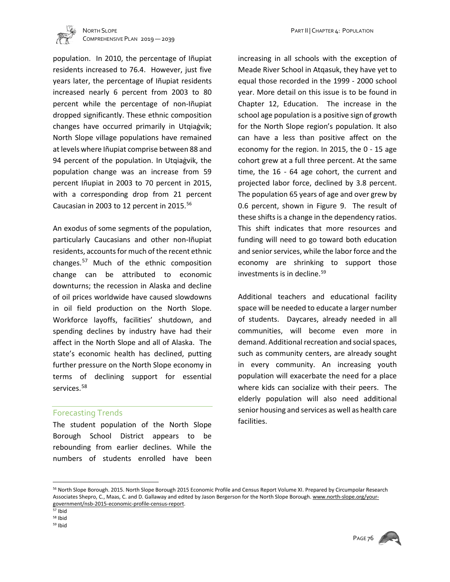

COMPREHENSIVE PLAN 2019 — 2039

population. In 2010, the percentage of Iñupiat residents increased to 76.4. However, just five years later, the percentage of Iñupiat residents increased nearly 6 percent from 2003 to 80 percent while the percentage of non-Iñupiat dropped significantly. These ethnic composition changes have occurred primarily in Utqiaġvik; North Slope village populations have remained at levels where Iñupiat comprise between 88 and 94 percent of the population. In Utqiaġvik, the population change was an increase from 59 percent Iñupiat in 2003 to 70 percent in 2015, with a corresponding drop from 21 percent Caucasian in 2003 to 12 percent in 2015.[56](#page-7-0)

An exodus of some segments of the population, particularly Caucasians and other non-Iñupiat residents, accounts for much of the recent ethnic changes.[57](#page-7-1) Much of the ethnic composition change can be attributed to economic downturns; the recession in Alaska and decline of oil prices worldwide have caused slowdowns in oil field production on the North Slope. Workforce layoffs, facilities' shutdown, and spending declines by industry have had their affect in the North Slope and all of Alaska. The state's economic health has declined, putting further pressure on the North Slope economy in terms of declining support for essential services.<sup>58</sup>

## Forecasting Trends

The student population of the North Slope Borough School District appears to be rebounding from earlier declines. While the numbers of students enrolled have been

increasing in all schools with the exception of Meade River School in Atqasuk, they have yet to equal those recorded in the 1999 - 2000 school year. More detail on this issue is to be found in Chapter 12, Education. The increase in the school age population is a positive sign of growth for the North Slope region's population. It also can have a less than positive affect on the economy for the region. In 2015, the 0 - 15 age cohort grew at a full three percent. At the same time, the 16 - 64 age cohort, the current and projected labor force, declined by 3.8 percent. The population 65 years of age and over grew by 0.6 percent, shown in Figure 9. The result of these shifts is a change in the dependency ratios. This shift indicates that more resources and funding will need to go toward both education and senior services, while the labor force and the economy are shrinking to support those investments is in decline.<sup>59</sup>

Additional teachers and educational facility space will be needed to educate a larger number of students. Daycares, already needed in all communities, will become even more in demand. Additional recreation and social spaces, such as community centers, are already sought in every community. An increasing youth population will exacerbate the need for a place where kids can socialize with their peers. The elderly population will also need additional senior housing and services as well as health care facilities.

 $\overline{\phantom{a}}$ 



<span id="page-7-0"></span><sup>56</sup> North Slope Borough. 2015. North Slope Borough 2015 Economic Profile and Census Report Volume XI. Prepared by Circumpolar Research Associates Shepro, C., Maas, C. and D. Gallaway and edited by Jason Bergerson for the North Slope Borough. www.north-slope.org/yourgovernment/nsb-2015-economic-profile-census-report. 57 Ibid

<span id="page-7-1"></span>

<span id="page-7-2"></span><sup>58</sup> Ibid

<span id="page-7-3"></span><sup>59</sup> Ibid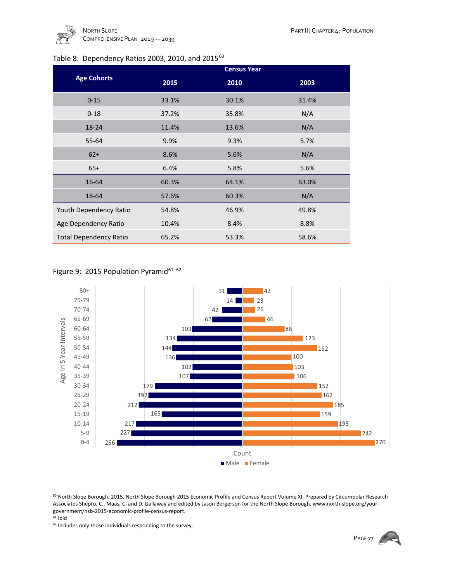

## Table 8: Dependency Ratios 2003, 2010, and 2015<sup>[60](#page-8-0)</sup>

|                               |       | <b>Census Year</b> |       |
|-------------------------------|-------|--------------------|-------|
| <b>Age Cohorts</b>            | 2015  | 2010               | 2003  |
| $0 - 15$                      | 33.1% | 30.1%              | 31.4% |
| $0 - 18$                      | 37.2% | 35.8%              | N/A   |
| 18-24                         | 11.4% | 13.6%              | N/A   |
| 55-64                         | 9.9%  | 9.3%               | 5.7%  |
| $62+$                         | 8.6%  | 5.6%               | N/A   |
| $65+$                         | 6.4%  | 5.8%               | 5.6%  |
| 16-64                         | 60.3% | 64.1%              | 63.0% |
| 18-64                         | 57.6% | 60.3%              | N/A   |
| Youth Dependency Ratio        | 54.8% | 46.9%              | 49.8% |
| Age Dependency Ratio          | 10.4% | 8.4%               | 8.8%  |
| <b>Total Dependency Ratio</b> | 65.2% | 53.3%              | 58.6% |

## Figure 9: 2015 Population Pyramid<sup>[61](#page-8-1), [62](#page-8-2)</sup>



<span id="page-8-0"></span><sup>60</sup> North Slope Borough. 2015. North Slope Borough 2015 Economic Profile and Census Report Volume XI. Prepared by Circumpolar Research Associates Shepro, C., Maas, C. and D. Gallaway and edited by Jason Bergerson for the North Slope Borough. www.north-slope.org/yourgovernment/nsb-2015-economic-profile-census-report. 61 Ibid

 $\overline{\phantom{a}}$ 



<span id="page-8-2"></span><span id="page-8-1"></span><sup>62</sup> Includes only those individuals responding to the survey.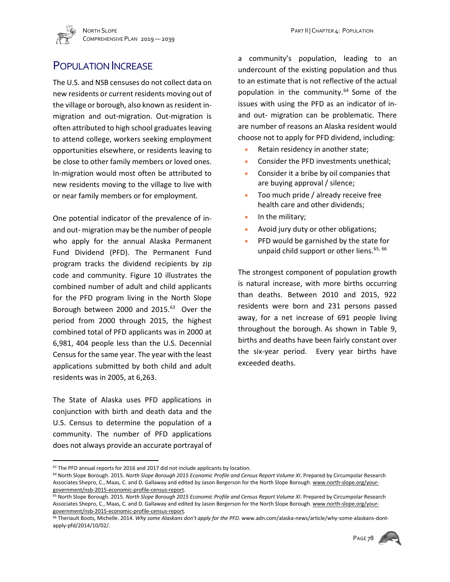

## POPULATION INCREASE

The U.S. and NSB censuses do not collect data on new residents or current residents moving out of the village or borough, also known as resident inmigration and out-migration. Out-migration is often attributed to high school graduates leaving to attend college, workers seeking employment opportunities elsewhere, or residents leaving to be close to other family members or loved ones. In-migration would most often be attributed to new residents moving to the village to live with or near family members or for employment.

One potential indicator of the prevalence of inand out- migration may be the number of people who apply for the annual Alaska Permanent Fund Dividend (PFD). The Permanent Fund program tracks the dividend recipients by zip code and community. Figure 10 illustrates the combined number of adult and child applicants for the PFD program living in the North Slope Borough between 2000 and 2015.<sup>63</sup> Over the period from 2000 through 2015, the highest combined total of PFD applicants was in 2000 at 6,981, 404 people less than the U.S. Decennial Census for the same year. The year with the least applications submitted by both child and adult residents was in 2005, at 6,263.

The State of Alaska uses PFD applications in conjunction with birth and death data and the U.S. Census to determine the population of a community. The number of PFD applications does not always provide an accurate portrayal of

 $\overline{\phantom{a}}$ 

a community's population, leading to an undercount of the existing population and thus to an estimate that is not reflective of the actual population in the community.<sup>[64](#page-9-1)</sup> Some of the issues with using the PFD as an indicator of inand out- migration can be problematic. There are number of reasons an Alaska resident would choose not to apply for PFD dividend, including:

- Retain residency in another state;
- Consider the PFD investments unethical;
- Consider it a bribe by oil companies that are buying approval / silence;
- Too much pride / already receive free health care and other dividends;
- In the military;
- Avoid jury duty or other obligations;
- PFD would be garnished by the state for unpaid child support or other liens.<sup>[65,](#page-9-2) [66](#page-9-3)</sup>

The strongest component of population growth is natural increase, with more births occurring than deaths. Between 2010 and 2015, 922 residents were born and 231 persons passed away, for a net increase of 691 people living throughout the borough. As shown in Table 9, births and deaths have been fairly constant over the six-year period. Every year births have exceeded deaths.

<span id="page-9-3"></span>apply-pfd/2014/10/02/.



<span id="page-9-0"></span> $63$  The PFD annual reports for 2016 and 2017 did not include applicants by location.

<span id="page-9-1"></span><sup>64</sup> North Slope Borough. 2015. *North Slope Borough 2015 Economic Profile and Census Report Volume XI*. Prepared by Circumpolar Research Associates Shepro, C., Maas, C. and D. Gallaway and edited by Jason Bergerson for the North Slope Borough. www.north-slope.org/yourgovernment/nsb-2015-economic-profile-census-report.<br><sup>65</sup> North Slope Borough. 2015. *North Slope Borough 2015 Economic Profile and Census Report Volume XI*. Prepared by Circumpolar Research

<span id="page-9-2"></span>Associates Shepro, C., Maas, C. and D. Gallaway and edited by Jason Bergerson for the North Slope Borough. www.north-slope.org/yourgovernment/nsb-2015-economic-profile-census-report.<br><sup>66</sup> Theriault Boots, Michelle. 2014. *Why some Alaskans don't apply for the PFD*. www.adn.com/alaska-news/article/why-some-alaskans-dont-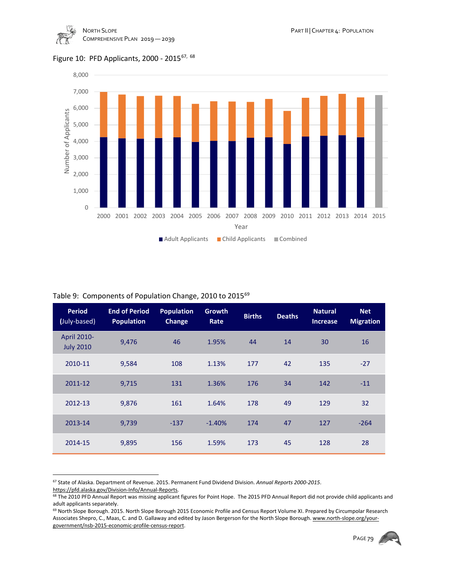





#### Table 9: Components of Population Change, 2010 to 2015<sup>[69](#page-10-2)</sup>

l

| <b>Period</b><br>(July-based)   | <b>End of Period</b><br><b>Population</b> | <b>Population</b><br><b>Change</b> | <b>Growth</b><br>Rate | <b>Births</b> | <b>Deaths</b> | <b>Natural</b><br><b>Increase</b> | <b>Net</b><br><b>Migration</b> |
|---------------------------------|-------------------------------------------|------------------------------------|-----------------------|---------------|---------------|-----------------------------------|--------------------------------|
| April 2010-<br><b>July 2010</b> | 9,476                                     | 46                                 | 1.95%                 | 44            | 14            | 30                                | 16                             |
| 2010-11                         | 9,584                                     | 108                                | 1.13%                 | 177           | 42            | 135                               | $-27$                          |
| 2011-12                         | 9,715                                     | 131                                | 1.36%                 | 176           | 34            | 142                               | $-11$                          |
| 2012-13                         | 9,876                                     | 161                                | 1.64%                 | 178           | 49            | 129                               | 32                             |
| 2013-14                         | 9,739                                     | $-137$                             | $-1.40%$              | 174           | 47            | 127                               | $-264$                         |
| 2014-15                         | 9,895                                     | 156                                | 1.59%                 | 173           | 45            | 128                               | 28                             |

<span id="page-10-0"></span><sup>67</sup> State of Alaska. Department of Revenue. 2015. Permanent Fund Dividend Division. *Annual Reports 2000-2015*.

<span id="page-10-2"></span><sup>&</sup>lt;sup>69</sup> North Slope Borough. 2015. North Slope Borough 2015 Economic Profile and Census Report Volume XI. Prepared by Circumpolar Research Associates Shepro, C., Maas, C. and D. Gallaway and edited by Jason Bergerson for the North Slope Borough. www.north-slope.org/yourgovernment/nsb-2015-economic-profile-census-report.



<span id="page-10-1"></span>https://pfd.alaska.gov/Division-Info/Annual-Reports.<br><sup>68</sup> The 2010 PFD Annual Report was missing applicant figures for Point Hope. The 2015 PFD Annual Report did not provide child applicants and adult applicants separately.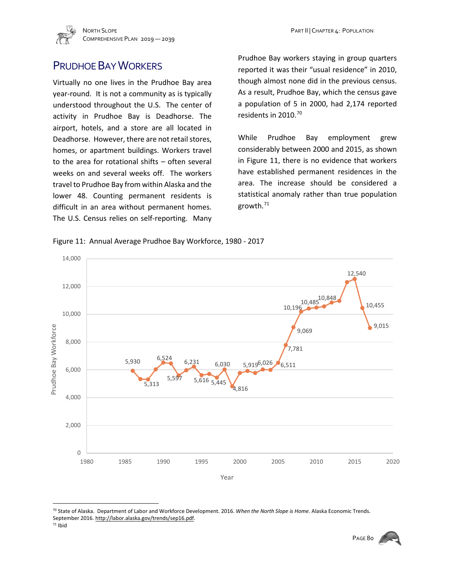

## PRUDHOE BAY WORKERS

 $\overline{\phantom{a}}$ 

Virtually no one lives in the Prudhoe Bay area year-round. It is not a community as is typically understood throughout the U.S. The center of activity in Prudhoe Bay is Deadhorse. The airport, hotels, and a store are all located in Deadhorse. However, there are not retail stores, homes, or apartment buildings. Workers travel to the area for rotational shifts – often several weeks on and several weeks off. The workers travel to Prudhoe Bay from within Alaska and the lower 48. Counting permanent residents is difficult in an area without permanent homes. The U.S. Census relies on self-reporting. Many

Prudhoe Bay workers staying in group quarters reported it was their "usual residence" in 2010, though almost none did in the previous census. As a result, Prudhoe Bay, which the census gave a population of 5 in 2000, had 2,174 reported residents in 2010.[70](#page-11-0)

While Prudhoe Bay employment grew considerably between 2000 and 2015, as shown in Figure 11, there is no evidence that workers have established permanent residences in the area. The increase should be considered a statistical anomaly rather than true population growth[.71](#page-11-1)





<span id="page-11-1"></span><span id="page-11-0"></span><sup>70</sup> State of Alaska. Department of Labor and Workforce Development. 2016. *When the North Slope is Home.* Alaska Economic Trends. September 2016. http://labor.alaska.gov/trends/sep16.pdf.<br><sup>71</sup> Ibid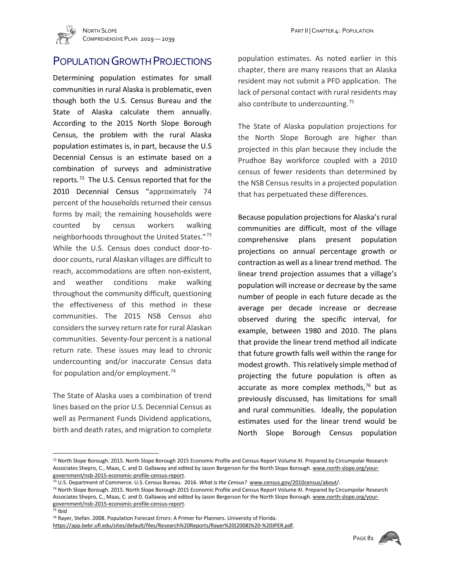

## POPULATION GROWTH PROJECTIONS

Determining population estimates for small communities in rural Alaska is problematic, even though both the U.S. Census Bureau and the State of Alaska calculate them annually. According to the 2015 North Slope Borough Census, the problem with the rural Alaska population estimates is, in part, because the U.S Decennial Census is an estimate based on a combination of surveys and administrative reports.[72](#page-12-0) The U.S. Census reported that for the 2010 Decennial Census "approximately 74 percent of the households returned their census forms by mail; the remaining households were counted by census workers walking neighborhoods throughout the United States."[73](#page-12-1) While the U.S. Census does conduct door-todoor counts, rural Alaskan villages are difficult to reach, accommodations are often non-existent, and weather conditions make walking throughout the community difficult, questioning the effectiveness of this method in these communities. The 2015 NSB Census also considers the survey return rate for rural Alaskan communities. Seventy-four percent is a national return rate. These issues may lead to chronic undercounting and/or inaccurate Census data for population and/or employment.<sup>[74](#page-12-2)</sup>

The State of Alaska uses a combination of trend lines based on the prior U.S. Decennial Census as well as Permanent Funds Dividend applications, birth and death rates, and migration to complete population estimates. As noted earlier in this chapter, there are many reasons that an Alaska resident may not submit a PFD application. The lack of personal contact with rural residents may also contribute to undercounting.<sup>75</sup>

The State of Alaska population projections for the North Slope Borough are higher than projected in this plan because they include the Prudhoe Bay workforce coupled with a 2010 census of fewer residents than determined by the NSB Census results in a projected population that has perpetuated these differences.

Because population projections for Alaska's rural communities are difficult, most of the village comprehensive plans present population projections on annual percentage growth or contraction as well as a linear trend method. The linear trend projection assumes that a village's population will increase or decrease by the same number of people in each future decade as the average per decade increase or decrease observed during the specific interval, for example, between 1980 and 2010. The plans that provide the linear trend method all indicate that future growth falls well within the range for modest growth. This relatively simple method of projecting the future population is often as accurate as more complex methods, $76$  but as previously discussed, has limitations for small and rural communities. Ideally, the population estimates used for the linear trend would be North Slope Borough Census population

l



<span id="page-12-0"></span><sup>72</sup> North Slope Borough. 2015. North Slope Borough 2015 Economic Profile and Census Report Volume XI. Prepared by Circumpolar Research Associates Shepro, C., Maas, C. and D. Gallaway and edited by Jason Bergerson for the North Slope Borough. www.north-slope.org/your-

<span id="page-12-1"></span>government/nsb-2015-economic-profile-census-report.<br><sup>73</sup> U.S. Department of Commerce. U.S. Census Bureau. 2016. What is the Census? www.census.gov/2010census/about/.

<span id="page-12-2"></span><sup>74</sup> North Slope Borough. 2015. North Slope Borough 2015 Economic Profile and Census Report Volume XI. Prepared by Circumpolar Research Associates Shepro, C., Maas, C. and D. Gallaway and edited by Jason Bergerson for the North Slope Borough. www.north-slope.org/yourgovernment/nsb-2015-economic-profile-census-report.<br><sup>75</sup> Ibid<br><sup>76</sup> Rayer, Stefan. 2008. Population Forecast Errors: A Primer for Planners. University of Florida.

<span id="page-12-4"></span><span id="page-12-3"></span>

https://app.bebr.ufl.edu/sites/default/files/Research%20Reports/Rayer%20(2008)%20-%20JPER.pdf.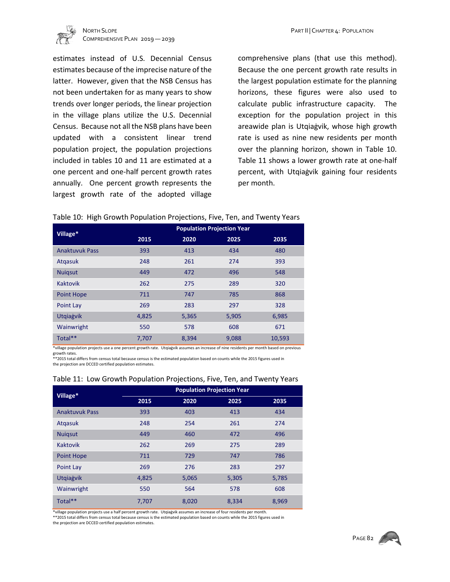

estimates instead of U.S. Decennial Census estimates because of the imprecise nature of the latter. However, given that the NSB Census has not been undertaken for as many years to show trends over longer periods, the linear projection in the village plans utilize the U.S. Decennial Census. Because not all the NSB plans have been updated with a consistent linear trend population project, the population projections included in tables 10 and 11 are estimated at a one percent and one-half percent growth rates annually. One percent growth represents the largest growth rate of the adopted village comprehensive plans (that use this method). Because the one percent growth rate results in the largest population estimate for the planning horizons, these figures were also used to calculate public infrastructure capacity. The exception for the population project in this areawide plan is Utqiaġvik, whose high growth rate is used as nine new residents per month over the planning horizon, shown in Table 10. Table 11 shows a lower growth rate at one-half percent, with Utqiaġvik gaining four residents per month.

## Table 10: High Growth Population Projections, Five, Ten, and Twenty Years

| Village*                     | <b>Population Projection Year</b> |       |       |        |  |
|------------------------------|-----------------------------------|-------|-------|--------|--|
|                              | 2015                              | 2020  | 2025  | 2035   |  |
| <b>Anaktuvuk Pass</b>        | 393                               | 413   | 434   | 480    |  |
| Atgasuk                      | 248                               | 261   | 274   | 393    |  |
| <b>Nuigsut</b>               | 449                               | 472   | 496   | 548    |  |
| <b>Kaktovik</b>              | 262                               | 275   | 289   | 320    |  |
| <b>Point Hope</b>            | 711                               | 747   | 785   | 868    |  |
| Point Lay                    | 269                               | 283   | 297   | 328    |  |
| Utgiagvik                    | 4,825                             | 5,365 | 5,905 | 6,985  |  |
| Wainwright                   | 550                               | 578   | 608   | 671    |  |
| Total**<br>$-10$<br>$\cdots$ | 7,707                             | 8,394 | 9,088 | 10,593 |  |

\*village population projects use a one percent growth rate. Utqiaġvik assumes an increase of nine residents per month based on previous

growth rates. \*\*2015 total differs from census total because census is the estimated population based on counts while the 2015 figures used in the projection are DCCED certified population estimates.

|                       | <b>Population Projection Year</b> |       |       |       |  |
|-----------------------|-----------------------------------|-------|-------|-------|--|
| Village*              | 2015                              | 2020  | 2025  | 2035  |  |
| <b>Anaktuvuk Pass</b> | 393                               | 403   | 413   | 434   |  |
| Atgasuk               | 248                               | 254   | 261   | 274   |  |
| <b>Nuigsut</b>        | 449                               | 460   | 472   | 496   |  |
| Kaktovik              | 262                               | 269   | 275   | 289   |  |
| <b>Point Hope</b>     | 711                               | 729   | 747   | 786   |  |
| Point Lay             | 269                               | 276   | 283   | 297   |  |
| <b>Utgiagvik</b>      | 4,825                             | 5,065 | 5,305 | 5,785 |  |
| Wainwright            | 550                               | 564   | 578   | 608   |  |
| Total**               | 7,707                             | 8,020 | 8,334 | 8,969 |  |

#### Table 11: Low Growth Population Projections, Five, Ten, and Twenty Years

\*village population projects use a half percent growth rate. Utqiaġvik assumes an increase of four residents per month.

\*\*2015 total differs from census total because census is the estimated population based on counts while the 2015 figures used in the projection are DCCED certified population estimates.